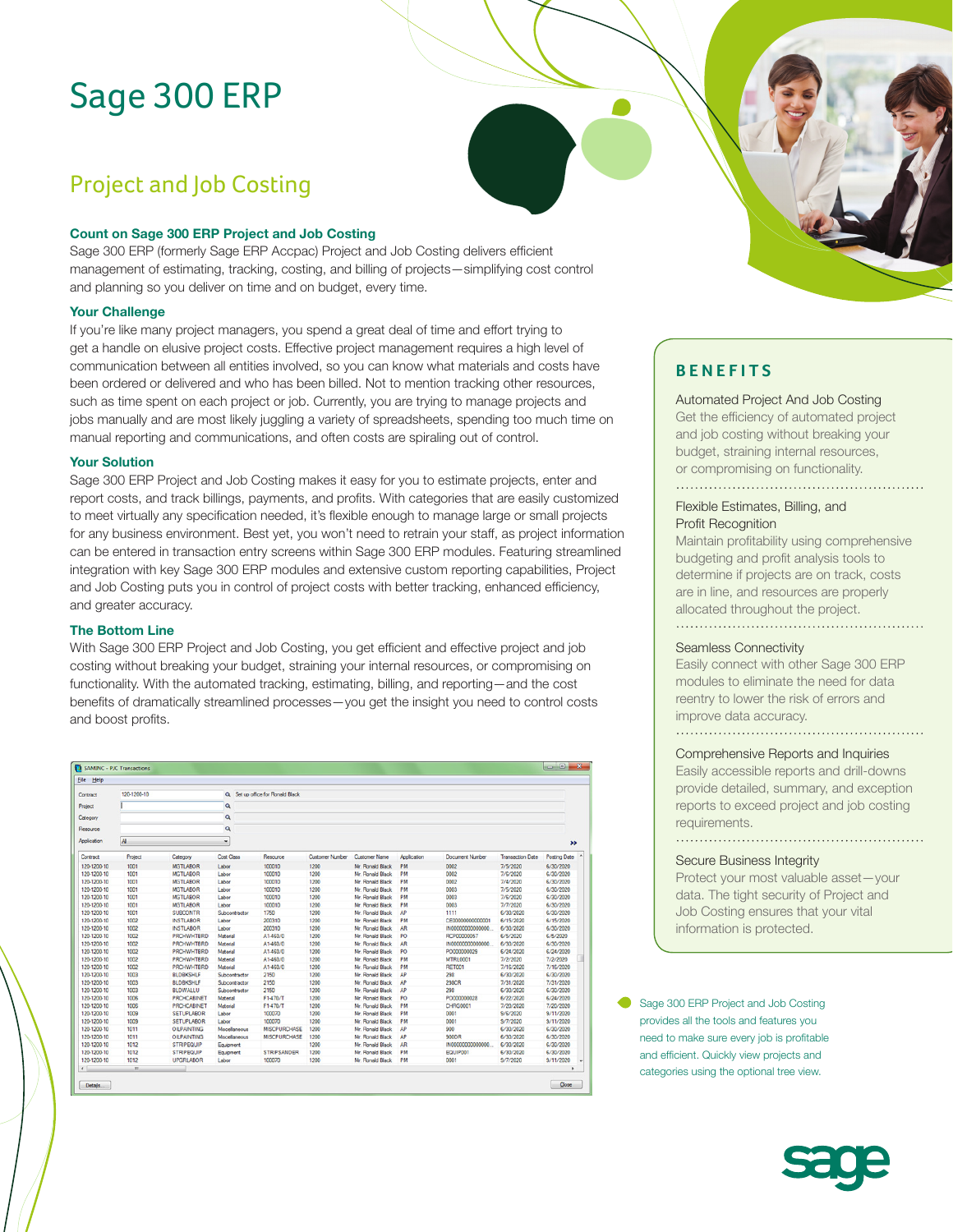# Sage 300 ERP

## Project and Job Costing

### **Count on Sage 300 ERP Project and Job Costing**

Sage 300 ERP (formerly Sage ERP Accpac) Project and Job Costing delivers efficient management of estimating, tracking, costing, and billing of projects—simplifying cost control and planning so you deliver on time and on budget, every time.

#### **Your Challenge**

If you're like many project managers, you spend a great deal of time and effort trying to get a handle on elusive project costs. Effective project management requires a high level of communication between all entities involved, so you can know what materials and costs have been ordered or delivered and who has been billed. Not to mention tracking other resources, such as time spent on each project or job. Currently, you are trying to manage projects and jobs manually and are most likely juggling a variety of spreadsheets, spending too much time on manual reporting and communications, and often costs are spiraling out of control.

## **Your Solution**

Sage 300 ERP Project and Job Costing makes it easy for you to estimate projects, enter and report costs, and track billings, payments, and profits. With categories that are easily customized to meet virtually any specification needed, it's flexible enough to manage large or small projects for any business environment. Best yet, you won't need to retrain your staff, as project information can be entered in transaction entry screens within Sage 300 ERP modules. Featuring streamlined integration with key Sage 300 ERP modules and extensive custom reporting capabilities, Project and Job Costing puts you in control of project costs with better tracking, enhanced efficiency, and greater accuracy.

## **The Bottom Line**

With Sage 300 ERP Project and Job Costing, you get efficient and effective project and job costing without breaking your budget, straining your internal resources, or compromising on functionality. With the automated tracking, estimating, billing, and reporting—and the cost benefits of dramatically streamlined processes—you get the insight you need to control costs and boost profits.

| File Help    |                      |                    |                   |                                   |                        |                      |             |                        |                         |               |
|--------------|----------------------|--------------------|-------------------|-----------------------------------|------------------------|----------------------|-------------|------------------------|-------------------------|---------------|
| Contract     | 120-1200-10          |                    |                   | Q. Set up office for Ronald Black |                        |                      |             |                        |                         |               |
| Project      |                      |                    | a                 |                                   |                        |                      |             |                        |                         |               |
| Category     |                      |                    | $\alpha$          |                                   |                        |                      |             |                        |                         |               |
|              |                      |                    |                   |                                   |                        |                      |             |                        |                         |               |
| Resource     | $\alpha$<br>All<br>۰ |                    |                   |                                   |                        |                      |             |                        |                         |               |
| Application  |                      |                    |                   |                                   |                        |                      |             |                        |                         | $\rightarrow$ |
| Contract     | Project              | Category           | <b>Cost Class</b> | Resource                          | <b>Customer Number</b> | <b>Customer Name</b> | Application | <b>Document Number</b> | <b>Transaction Date</b> | Posting Date  |
| 120-1200-10  | 1001                 | <b>MGTLABOR</b>    | Labor             | 100010                            | 1200                   | Mr. Ronald Black     | <b>PM</b>   | 0002                   | 7/5/2020                | 6/30/2020     |
| 120-1200-10  | 1001                 | <b>MGTLABOR</b>    | Labor             | 100010                            | 1200                   | Mr. Ronald Black     | PM          | 0002                   | 7/6/2020                | 6/30/2020     |
| 120-1200-10  | 1001                 | <b>MGTLABOR</b>    | Labor             | 100010                            | 1200                   | Mr. Ronald Black     | PM          | 0002                   | 7/4/2020                | 6/30/2020     |
| 120-1200-10  | 1001                 | <b>MGTLABOR</b>    | Labor             | 100010                            | 1200                   | Mr. Ronald Black     | PM          | 0003                   | 7/5/2020                | 6/30/2020     |
| 120-1200-10  | 1001                 | <b>MGTLABOR</b>    | Labor             | 100010                            | 1200                   | Mr. Ronald Black     | PM          | 0003                   | 7/6/2020                | 6/30/2020     |
| 120-1200-10  | 1001                 | <b>MGTLABOR</b>    | Labor             | 100010                            | 1200                   | Mr. Ronald Black     | PM          | 0003                   | 7/7/2020                | 6/30/2020     |
| 120-1200-10  | 1001                 | <b>SUBCONTR</b>    | Subcontractor     | 1750                              | 1200                   | Mr. Ronald Black     | AP          | 1111                   | 6/30/2020               | 6/30/2020     |
| 120-1200-10  | 1002                 | <b>INSTLABOR</b>   | Labor             | 200310                            | 1200                   | Mr. Ronald Black     | PM          | CE00000000000001       | 6/15/2020               | 6/15/2020     |
| 120-1200-10  | 1002                 | <b>INSTLABOR</b>   | Labor             | 200310                            | 1200                   | Mr. Ronald Black     | AR          | IN0000000000000.       | 6/30/2020               | 6/30/2020     |
| 120-1200-10  | 1002                 | <b>PRCHWHTBRD</b>  | Material          | A1-460/0                          | 1200                   | Mr. Ronald Black     | PO          | RCP00000057            | 6/5/2020                | 6/5/2020      |
| 120-1200-10  | 1002                 | <b>PRCHWHTBRD</b>  | Material          | A1-460/0                          | 1200                   | Mr. Ronald Black     | <b>AR</b>   | IN00000000000000       | 6/30/2020               | 6/30/2020     |
| 120-1200-10  | 1002                 | <b>PRCHWHTBRD</b>  | Material          | A1-460/0                          | 1200                   | Mr. Ronald Black     | PO          | PO000000029            | 6/24/2020               | 6/24/2020     |
| 120-1200-10  | 1002                 | <b>PRCHWHTBRD</b>  | Material          | A1-460/0                          | 1200                   | Mr. Ronald Black     | PM          | <b>MTRL0001</b>        | 7/2/2020                | 7/2/2020      |
| 120-1200-10  | 1002                 | <b>PRCHWHTBRD</b>  | Material          | A1-460/0                          | 1200                   | Mr. Ronald Black     | PM          | <b>RET001</b>          | 7/16/2020               | 7/16/2020     |
| 120-1200-10  | 1003                 | <b>BLDBKSHLF</b>   | Subcontractor     | 2150                              | 1200                   | Mr. Ronald Black     | AP          | 298                    | 6/30/2020               | 6/30/2020     |
| 120-1200-10  | 1003                 | <b>BLDBKSHLF</b>   | Subcontractor     | 2150                              | 1200                   | Mr. Ronald Black     | AP          | 298CR                  | 7/31/2020               | 7/31/2020     |
| 120-1200-10  | 1003                 | <b>BLDWALLU</b>    | Subcontractor     | 2150                              | 1200                   | Mr. Ronald Black     | AP          | 298                    | 6/30/2020               | 6/30/2020     |
| 120-1200-10  | 1006                 | <b>PRCHCABINET</b> | Material          | F1-470/T                          | 1200                   | Mr. Ronald Black     | PO          | PO000000028            | 6/22/2020               | 6/24/2020     |
| 120-1200-10  | 1006                 | <b>PRCHCABINET</b> | Material          | F1-470/T                          | 1200                   | Mr. Ronald Black     | PM          | <b>CHRG0001</b>        | 7/20/2020               | 7/20/2020     |
| 120-1200-10  | 1009                 | <b>SETUPLABOR</b>  | Labor             | 100070                            | 1200                   | Mr. Ronald Black     | PM          | 0001                   | 9/6/2020                | 9/11/2020     |
| 120-1200-10  | 1009                 | <b>SETUPLABOR</b>  | Labor             | 100070                            | 1200                   | Mr. Ronald Black     | PM          | 0001                   | 9/7/2020                | 9/11/2020     |
| 120-1200-10  | 1011                 | <b>OILPAINTING</b> | Mscellaneous      | <b>MISCPURCHASE</b>               | 1200                   | Mr. Ronald Black     | AP          | 900                    | 6/30/2020               | 6/30/2020     |
| 120-1200-10  | 1011                 | <b>OILPAINTING</b> | Mscellaneous      | <b>MISCPURCHASE</b>               | 1200                   | Mr. Ronald Black     | AP          | 900DR                  | 6/30/2020               | 6/30/2020     |
| 120-1200-10  | 1012                 | <b>STRIPEQUIP</b>  | Equipment         |                                   | 1200                   | Mr. Ronald Black     | AR.         | IN00000000000000       | 6/30/2020               | 6/30/2020     |
| 120-1200-10  | 1012                 | <b>STRIPEQUIP</b>  | Equipment         | <b>STRIPSANDER</b>                | 1200                   | Mr. Ronald Black     | PM          | EQUIP001               | 6/30/2020               | 6/30/2020     |
| 120-1200-10  | 1012                 | <b>UPGRLABOR</b>   | Labor             | 100070                            | 1200                   | Mr. Ronald Black     | PM          | 0001                   | 9/7/2020                | 9/11/2020     |
| $\leftarrow$ | m.                   |                    |                   |                                   |                        |                      |             |                        |                         |               |

## **BENEFITS**

Automated Project And Job Costing

Get the efficiency of automated project and job costing without breaking your budget, straining internal resources, or compromising on functionality.

## Flexible Estimates, Billing, and Profit Recognition

Maintain profitability using comprehensive budgeting and profit analysis tools to determine if projects are on track, costs are in line, and resources are properly allocated throughout the project. 

#### Seamless Connectivity

Easily connect with other Sage 300 ERP modules to eliminate the need for data reentry to lower the risk of errors and improve data accuracy. 

## Comprehensive Reports and Inquiries

Easily accessible reports and drill-downs provide detailed, summary, and exception reports to exceed project and job costing requirements.

## Secure Business Integrity

Protect your most valuable asset—your data. The tight security of Project and Job Costing ensures that your vital information is protected.

Sage 300 ERP Project and Job Costing provides all the tools and features you need to make sure every job is profitable and efficient. Quickly view projects and categories using the optional tree view.